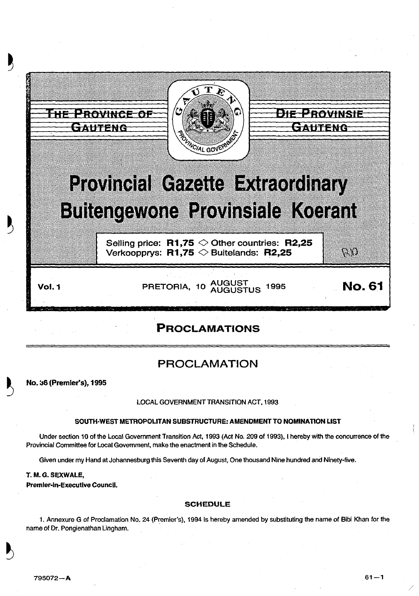

# PROCLAMATIONS

# PROCLAMATION

~ No. a6 (Premier's), 1995

### LOCAL GOVERNMENT TRANSITION ACT, 1993

### SOUTH-WEST METROPOLITAN SUBSTRUCTURE: AMENDMENT TO NOMINATION LIST

Under section 10 of the Local Government Transition Act, 1993 (Act No. 209 of 1993), I hereby with the concurrence ofthe Provincial Committee for Local Government, make the enactment in the Schedule.

Given under my Hand at Johannesburg this Seventh day of August, One thousand Nine hundred and Ninety-five.

T. M.G. SEXWALE,

Premier-In-Executive Council.

#### SCHEDULE

1. Annexure G of Proclamation No. 24 (Premier's), 1994 is hereby amended by substituting the name of Bibi Khan for the name of Dr. Pongienathan Lingham.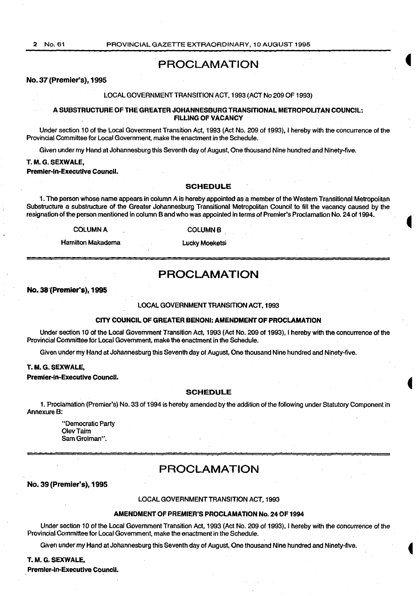## PROCLAMATION

#### No. 37 (Premier's), 1995

#### LOCAL GOVERNMENT TRANSITION ACT, 1993 (ACT No 209 OF 1993}

#### A SUBSTRUCTURE OF THE GREATER JOHANNESBURG TRANSITIONAL METROPOLITAN COUNCIL: FILLING OF VACANCY

Under section 10 of the Local Government Transition Act, 1993 (Act No. 209 of 1993), I hereby with the concurrence of the Provincial Committee for Local Government, make the enactment in the Schedule.

Given under my Hand at Johannesburg this Seventh day of August, One thousand Nine hundred and Ninety-five.

### T. M.G. SEXWALE,

Premier-in-Executive Council.

#### SCHEDULE

1. The person whose name appears in column A is hereby appointed as a member of the Western Transitional Metropolitan Substructure a substructure of the Greater Johannesburg Transitional Metropolitan Council to fill the vacancy caused by the resignation of the person mentioned in column Band who was appointed in terms of Premier's Proclamation No. 24 of 1994.

**COLUMN A** 

**COLUMN B** 

Hamilton Makadema

Lucky Moeketsi

## PROCLAMATION

No. 38'(Premler's), 1995

#### LOCAL GOVERNMENT TRANSITION ACT, 1993

#### CITY COUNCIL OF GREATER BENONI: AMENDMENT OF PROCLAMATION

Under section 10 of the Local Government Transition Act, 1993 (Act No. 209 of 1993), I hereby with the concurrence of the Provincial Committee for Local Government, make the enactment in the Schedule.

Given under my Hand at Johannesburg this Seventh day of August, One thousand Nine hundred and Ninety-five.

#### T. M.G. SEXWALE,

Premier-in-Executive Council.

#### SCHEDULE

1. Proclamation (Premier's) No. 33 of 1994 is hereby amended by the addition of the following under Statutory Component in AnnexureB:

"Democratic Party OlevTaim Sam Grolman".

## PROCLAMATION

No. 39 (Premier's), 1995

#### LOCAL GOVERNMENT TRANSITION ACT, 1993

#### AMENDMENT OF PREMIER'S PROCLAMATION No. 24 OF 1994

Under section 10 of the Local Government Transition Act, 1993 (Act No. 209 of 1993), I hereby with the concurrence of the Provincial Committee for Local Government, make the enactment in the Schedule.

Given under my Hand at Johannesburg this Seventh day of August, One thousand Nine hundred and Ninety-five.

T. M. G. SEXWALE,

Premier-in-Executive Council.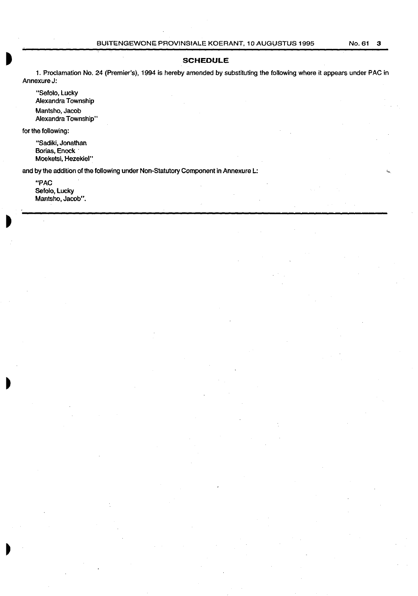## **SCHEDULE**

1. Proclamation No. 24 (Premier's}, 1994 is hereby amended by substituting the following where it appears under PAC in Annexure J:

"Sefolo, Lucky Alexandra Township Mantsho, Jacob Alexandra Township"

for the following:

"Sadiki, Jonathan Borias, Enock · Moeketsi, Hezekiel"

and by the addition of the following under Non-Statutory Component in Annexure L:

"PAC Sefolo, Lucky Mantsho, Jacob".